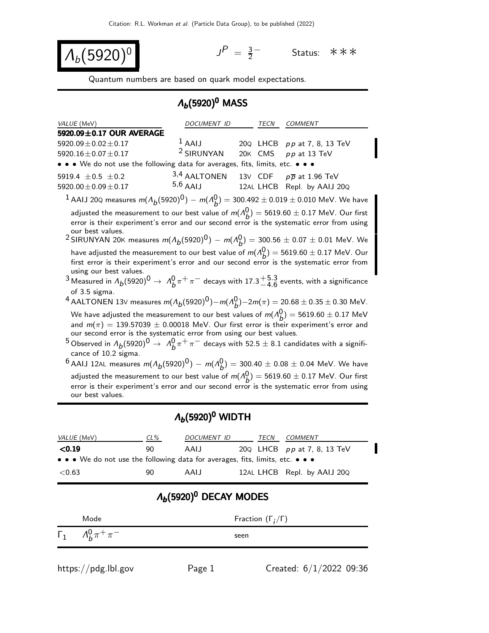$$
\lambda_b(5920)^0
$$

 $P = \frac{3}{2}$ 2 <sup>−</sup> Status: ∗∗∗

Quantum numbers are based on quark model expectations.

## $Λ<sub>b</sub>$ (5920)<sup>0</sup> MASS

| VALUE (MeV)                                                                                                                                                                                                                                                                                                                                                                                                                                                                                                         | DOCUMENT ID           |  | TECN    | <b>COMMENT</b>                      |  |  |
|---------------------------------------------------------------------------------------------------------------------------------------------------------------------------------------------------------------------------------------------------------------------------------------------------------------------------------------------------------------------------------------------------------------------------------------------------------------------------------------------------------------------|-----------------------|--|---------|-------------------------------------|--|--|
| 5920.09±0.17 OUR AVERAGE                                                                                                                                                                                                                                                                                                                                                                                                                                                                                            |                       |  |         |                                     |  |  |
| $5920.09 \pm 0.02 \pm 0.17$                                                                                                                                                                                                                                                                                                                                                                                                                                                                                         | $^1$ AAIJ             |  |         | 20Q LHCB pp at 7, 8, 13 TeV         |  |  |
| 5920.16 $\pm$ 0.07 $\pm$ 0.17                                                                                                                                                                                                                                                                                                                                                                                                                                                                                       | <sup>2</sup> SIRUNYAN |  | 20K CMS | $pp$ at 13 TeV                      |  |  |
| • • We do not use the following data for averages, fits, limits, etc. • • •                                                                                                                                                                                                                                                                                                                                                                                                                                         |                       |  |         |                                     |  |  |
| 5919.4 $\pm$ 0.5 $\pm$ 0.2                                                                                                                                                                                                                                                                                                                                                                                                                                                                                          | 3,4 AALTONEN          |  |         | 13V CDF $p\overline{p}$ at 1.96 TeV |  |  |
| 5920.00 $\pm$ 0.09 $\pm$ 0.17                                                                                                                                                                                                                                                                                                                                                                                                                                                                                       | $5,6$ AAIJ            |  |         | 12AL LHCB Repl. by AAIJ 20Q         |  |  |
| <sup>1</sup> AAIJ 20Q measures $m(A_b(5920)^0) - m(A_b^0) = 300.492 \pm 0.019 \pm 0.010$ MeV. We have                                                                                                                                                                                                                                                                                                                                                                                                               |                       |  |         |                                     |  |  |
| adjusted the measurement to our best value of $m(A_b^0) = 5619.60 \pm 0.17$ MeV. Our first<br>error is their experiment's error and our second error is the systematic error from using<br>our best values.<br><sup>2</sup> SIRUNYAN 20K measures $m(A_b(5920)^0) - m(A_b^0) = 300.56 \pm 0.07 \pm 0.01$ MeV. We                                                                                                                                                                                                    |                       |  |         |                                     |  |  |
| have adjusted the measurement to our best value of $m(\Lambda_h^0)=5619.60\pm 0.17$ MeV. Our<br>first error is their experiment's error and our second error is the systematic error from<br>using our best values.<br><sup>3</sup> Measured in $\Lambda_b(5920)^0 \to \Lambda_b^0 \pi^+ \pi^-$ decays with 17.3 $^{+5.3}_{-4.6}$ events, with a significance<br>of 3.5 sigma.                                                                                                                                      |                       |  |         |                                     |  |  |
| <sup>4</sup> AALTONEN 13V measures $m(A_b(5920)^0) - m(A_b^0) - 2m(\pi) = 20.68 \pm 0.35 \pm 0.30$ MeV.                                                                                                                                                                                                                                                                                                                                                                                                             |                       |  |         |                                     |  |  |
| We have adjusted the measurement to our best values of $m(A_b^0) = 5619.60 \pm 0.17$ MeV<br>and $m(\pi) = 139.57039 \pm 0.00018$ MeV. Our first error is their experiment's error and<br>our second error is the systematic error from using our best values.<br>$^5$ Observed in $\Lambda_b(5920)^0\to~\Lambda_b^0\pi^+\pi^-$ decays with 52.5 $\pm$ 8.1 candidates with a signifi-<br>cance of 10.2 sigma.<br><sup>6</sup> AAIJ 12AL measures $m(A_b(5920)^0) - m(A_b^0) = 300.40 \pm 0.08 \pm 0.04$ MeV. We have |                       |  |         |                                     |  |  |
| adjusted the measurement to our best value of $m(A_b^0) = 5619.60 \pm 0.17$ MeV. Our first<br>error is their experiment's error and our second error is the systematic error from using<br>our best values.                                                                                                                                                                                                                                                                                                         |                       |  |         |                                     |  |  |

## $\Lambda_b(5920)^0$  WIDTH

| <i>VALUE</i> (MeV)                                                            | $CL\%$ | DOCUMENT ID | TECN | COMMENT                          |
|-------------------------------------------------------------------------------|--------|-------------|------|----------------------------------|
| $\le 0.19$                                                                    | 90     | AAIJ        |      | 20 $Q$ LHCB $pp$ at 7, 8, 13 TeV |
| • • • We do not use the following data for averages, fits, limits, etc. • • • |        |             |      |                                  |
| ${<}0.63$                                                                     | 90     | AALI        |      | 12AL LHCB Repl. by AAIJ 20Q      |

# $Λ<sub>b</sub>$ (5920)<sup>0</sup> DECAY MODES

| Mode                           | Fraction $(\Gamma_i/\Gamma)$ |
|--------------------------------|------------------------------|
| $\Gamma_1$ $A_b^0 \pi^+ \pi^-$ | seen                         |
|                                |                              |